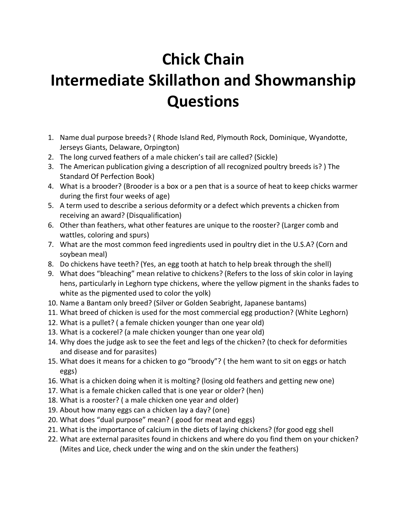## **Chick Chain Intermediate Skillathon and Showmanship Questions**

- 1. Name dual purpose breeds? ( Rhode Island Red, Plymouth Rock, Dominique, Wyandotte, Jerseys Giants, Delaware, Orpington)
- 2. The long curved feathers of a male chicken's tail are called? (Sickle)
- 3. The American publication giving a description of all recognized poultry breeds is? ) The Standard Of Perfection Book)
- 4. What is a brooder? (Brooder is a box or a pen that is a source of heat to keep chicks warmer during the first four weeks of age)
- 5. A term used to describe a serious deformity or a defect which prevents a chicken from receiving an award? (Disqualification)
- 6. Other than feathers, what other features are unique to the rooster? (Larger comb and wattles, coloring and spurs)
- 7. What are the most common feed ingredients used in poultry diet in the U.S.A? (Corn and soybean meal)
- 8. Do chickens have teeth? (Yes, an egg tooth at hatch to help break through the shell)
- 9. What does "bleaching" mean relative to chickens? (Refers to the loss of skin color in laying hens, particularly in Leghorn type chickens, where the yellow pigment in the shanks fades to white as the pigmented used to color the yolk)
- 10. Name a Bantam only breed? (Silver or Golden Seabright, Japanese bantams)
- 11. What breed of chicken is used for the most commercial egg production? (White Leghorn)
- 12. What is a pullet? ( a female chicken younger than one year old)
- 13. What is a cockerel? (a male chicken younger than one year old)
- 14. Why does the judge ask to see the feet and legs of the chicken? (to check for deformities and disease and for parasites)
- 15. What does it means for a chicken to go "broody"? ( the hem want to sit on eggs or hatch eggs)
- 16. What is a chicken doing when it is molting? (losing old feathers and getting new one)
- 17. What is a female chicken called that is one year or older? (hen)
- 18. What is a rooster? ( a male chicken one year and older)
- 19. About how many eggs can a chicken lay a day? (one)
- 20. What does "dual purpose" mean? ( good for meat and eggs)
- 21. What is the importance of calcium in the diets of laying chickens? (for good egg shell
- 22. What are external parasites found in chickens and where do you find them on your chicken? (Mites and Lice, check under the wing and on the skin under the feathers)